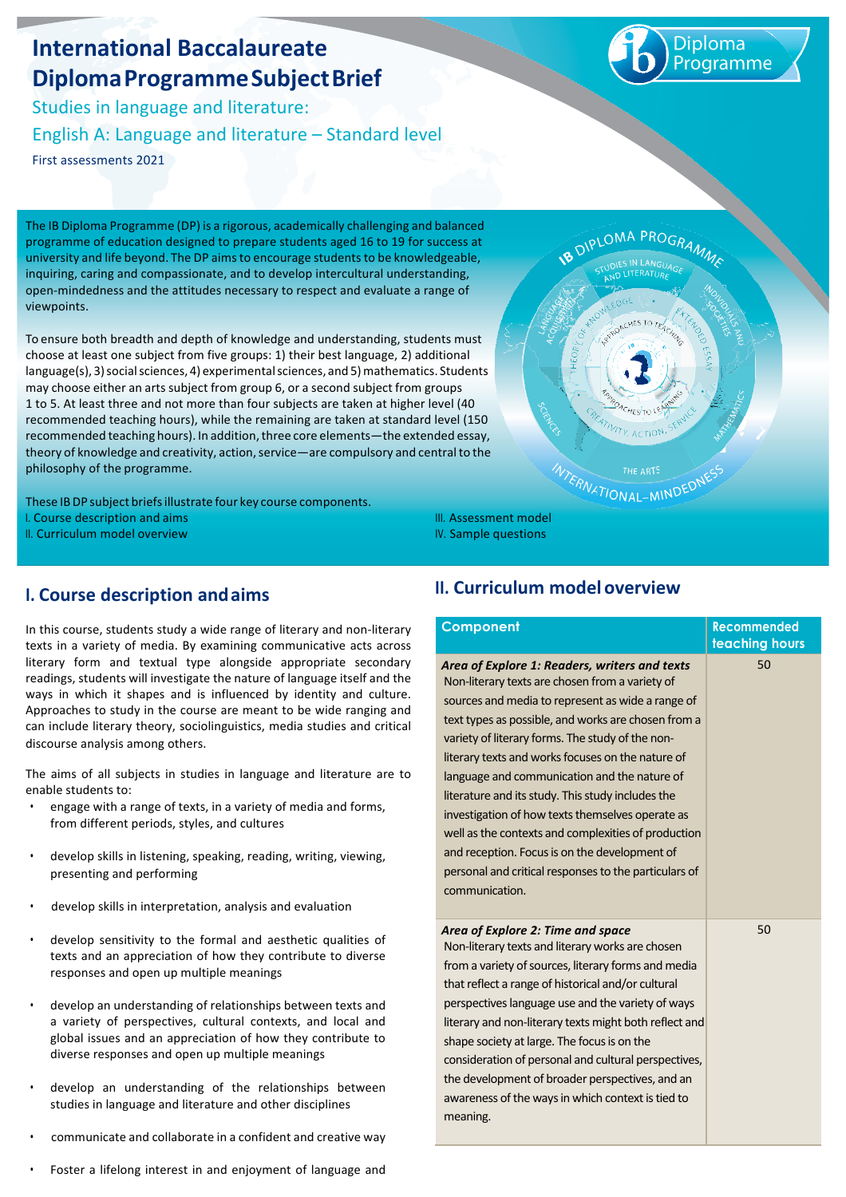# **International Baccalaureate DiplomaProgrammeSubjectBrief**

Studies in language and literature: English A: Language and literature - Standard level First assessments 2021

Diploma rogramme

The IB Diploma Programme (DP) is a rigorous, academically challenging and balanced programme of education designed to prepare students aged 16 to 19 for success at university and life beyond. The DP aims to encourage students to be knowledgeable, inquiring, caring and compassionate, and to develop intercultural understanding, open-mindedness and the attitudes necessary to respect and evaluate a range of viewpoints.

To ensure both breadth and depth of knowledge and understanding, students must choose at least one subiect from five groups: 1) their best language, 2) additional language(s), 3)socialsciences, 4) experimentalsciences, and 5)mathematics. Students may choose either an arts subject from group 6, or a second subject from groups 1 to 5. At least three and not more than four subjects are taken at higher level (40 recommended teaching hours), while the remaining are taken at standard level (150 recommended teaching hours). In addition, three core elements—the extended essay, theory of knowledge and creativity, action, service—are compulsory and central to the philosophy of the programme.

These IBDP subject briefsillustrate four key course components. I. Course description and aims II. Curriculum model overview

LOMA PROG<sub>RA</sub> ATIONAL-MIND

# **I. Course description andaims**

In this course, students study a wide range of literary and non-literary texts in a variety of media. By examining communicative acts across literary form and textual type alongside appropriate secondary readings, students will investigate the nature of language itself and the ways in which it shapes and is influenced by identity and culture. Approaches to study in the course are meant to be wide ranging and can include literary theory, sociolinguistics, media studies and critical discourse analysis among others.

The aims of all subiects in studies in language and literature are to enable students to:

- engage with a range of texts, in a variety of media and forms, from different periods, styles, and cultures
- develop skills in listening, speaking, reading, writing, viewing, presenting and performing
- develop skills in interpretation, analysis and evaluation
- develop sensitivity to the formal and aesthetic qualities of texts and an appreciation of how they contribute to diverse responses and open up multiple meanings
- develop an understanding of relationships between texts and a variety of perspectives, cultural contexts, and local and global issues and an appreciation of how they contribute to diverse responses and open up multiple meanings
- develop an understanding of the relationships between studies in language and literature and other disciplines
- communicate and collaborate in a confident and creative way
- Foster a lifelong interest in and enjoyment of language and

# **II. Curriculum model overview**

III. Assessment model IV. Sample questions

| Component                                                                                                                                                                                                                                                                                                                                                                                                                                                                                                                                                                                                                                                         | <b>Recommended</b><br>teaching hours |
|-------------------------------------------------------------------------------------------------------------------------------------------------------------------------------------------------------------------------------------------------------------------------------------------------------------------------------------------------------------------------------------------------------------------------------------------------------------------------------------------------------------------------------------------------------------------------------------------------------------------------------------------------------------------|--------------------------------------|
| Area of Explore 1: Readers, writers and texts<br>Non-literary texts are chosen from a variety of<br>sources and media to represent as wide a range of<br>text types as possible, and works are chosen from a<br>variety of literary forms. The study of the non-<br>literary texts and works focuses on the nature of<br>language and communication and the nature of<br>literature and its study. This study includes the<br>investigation of how texts themselves operate as<br>well as the contexts and complexities of production<br>and reception. Focus is on the development of<br>personal and critical responses to the particulars of<br>communication. | 50                                   |
| Area of Explore 2: Time and space<br>Non-literary texts and literary works are chosen<br>from a variety of sources, literary forms and media<br>that reflect a range of historical and/or cultural<br>perspectives language use and the variety of ways<br>literary and non-literary texts might both reflect and<br>shape society at large. The focus is on the<br>consideration of personal and cultural perspectives,<br>the development of broader perspectives, and an<br>awareness of the ways in which context is tied to<br>meaning.                                                                                                                      | 50                                   |